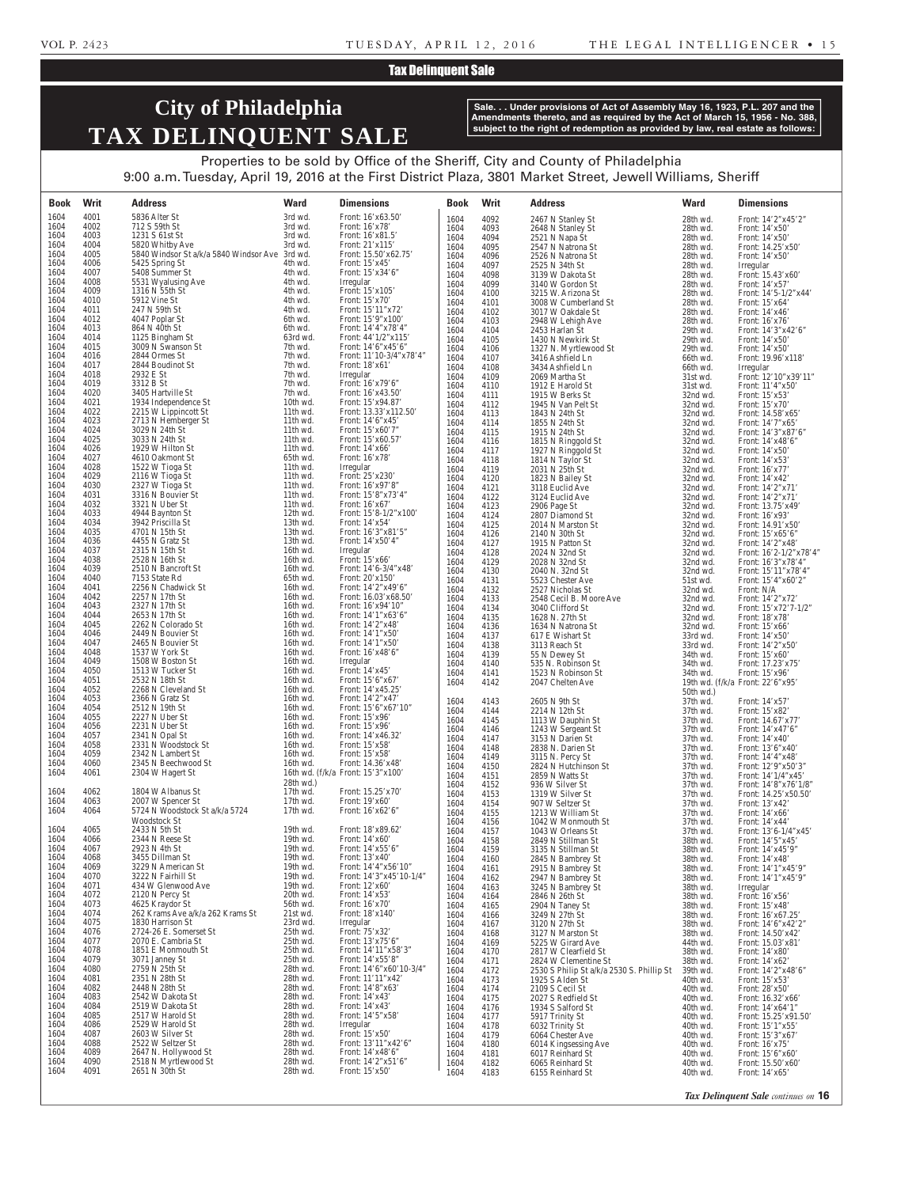#### Tax Delinquent Sale

## **City of Philadelphia TAX DELINQUENT SALE**

**Sale. . . Under provisions of Act of Assembly May 16, 1923, P.L. 207 and the Amendments thereto, and as required by the Act of March 15, 1956 - No. 388, subject to the right of redemption as provided by law, real estate as follows:**

Properties to be sold by Office of the Sheriff, City and County of Philadelphia 9:00 a.m. Tuesday, April 19, 2016 at the First District Plaza, 3801 Market Street, Jewell Williams, Sheriff

| <b>Book</b>  | Writ         | <b>Address</b>                               | <b>Ward</b>          | <b>Dimensions</b>                               | <b>Book</b>  | Writ         | <b>Address</b>                                               | <b>Ward</b>             | <b>Dimensions</b>                            |
|--------------|--------------|----------------------------------------------|----------------------|-------------------------------------------------|--------------|--------------|--------------------------------------------------------------|-------------------------|----------------------------------------------|
| 1604         | 4001         | 5836 Alter St                                | 3rd wd.              | Front: 16'x63.50'                               | 1604         | 4092         | 2467 N Stanley St                                            | 28th wd.                | Front: 14'2"x45'2"                           |
| 1604<br>1604 | 4002<br>4003 | 712 S 59th St<br>1231 S 61st St              | 3rd wd.<br>3rd wd.   | Front: 16'x78'<br>Front: 16'x81.5'              | 1604         | 4093         | 2648 N Stanley St                                            | 28th wd.                | Front: 14'x50'                               |
| 1604         | 4004         | 5820 Whitby Ave                              | 3rd wd.              | Front: 21'x115'                                 | 1604<br>1604 | 4094<br>4095 | 2521 N Napa St<br>2547 N Natrona St                          | 28th wd.<br>28th wd.    | Front: 14'x50'<br>Front: 14.25'x50'          |
| 1604         | 4005         | 5840 Windsor St a/k/a 5840 Windsor Ave       | 3rd wd.              | Front: 15.50'x62.75'                            | 1604         | 4096         | 2526 N Natrona St                                            | 28th wd.                | Front: 14'x50'                               |
| 1604<br>1604 | 4006<br>4007 | 5425 Spring St<br>5408 Summer St             | 4th wd.<br>4th wd.   | Front: $15'x45'$<br>Front: 15'x34'6"            | 1604         | 4097         | 2525 N 34th St                                               | 28th wd.                | Irregular                                    |
| 1604         | 4008         | 5531 Wyalusing Ave                           | 4th wd.              | Irregular                                       | 1604<br>1604 | 4098<br>4099 | 3139 W Dakota St<br>3140 W Gordon St                         | 28th wd.<br>28th wd.    | Front: 15.43'x60'<br>Front: 14'x57'          |
| 1604         | 4009         | 1316 N 55th St                               | 4th wd.              | Front: 15'x105'                                 | 1604         | 4100         | 3215 W. Arizona St                                           | 28th wd.                | Front: 14'5-1/2"x44'                         |
| 1604<br>1604 | 4010<br>4011 | 5912 Vine St<br>247 N 59th St                | 4th wd.<br>4th wd.   | Front: $15'x70'$<br>Front: 15'11"x72'           | 1604<br>1604 | 4101<br>4102 | 3008 W Cumberland St<br>3017 W Oakdale St                    | 28th wd.<br>28th wd.    | Front: 15'x64'                               |
| 1604         | 4012         | 4047 Poplar St                               | 6th wd.              | Front: 15'9"x100"                               | 1604         | 4103         | 2948 W Lehigh Ave                                            | 28th wd.                | Front: 14'x46'<br>Front: 16'x76'             |
| 1604         | 4013         | 864 N 40th St                                | 6th wd.              | Front: 14'4"x78'4"                              | 1604         | 4104         | 2453 Harlan St                                               | 29th wd.                | Front: 14'3"x42'6"                           |
| 1604<br>1604 | 4014<br>4015 | 1125 Bingham St<br>3009 N Swanson St         | 63rd wd.<br>7th wd.  | Front: $44'1/2''x115'$<br>Front: 14'6"x45'6"    | 1604<br>1604 | 4105<br>4106 | 1430 N Newkirk St<br>1327 N. Myrtlewood St                   | 29th wd.<br>29th wd.    | Front: 14'x50'<br>Front: 14'x50'             |
| 1604         | 4016         | 2844 Ormes St                                | 7th wd.              | Front: 11'10-3/4"x78'4"                         | 1604         | 4107         | 3416 Ashfield Ln                                             | 66th wd.                | Front: 19.96'x118'                           |
| 1604<br>1604 | 4017<br>4018 | 2844 Boudinot St<br>2932 E St                | 7th wd.<br>7th wd.   | Front: 18'x61'                                  | 1604         | 4108         | 3434 Ashfield Ln                                             | 66th wd.                | Irregular                                    |
| 1604         | 4019         | 3312 B St                                    | 7th wd.              | Irregular<br>Front: 16'x79'6"                   | 1604<br>1604 | 4109<br>4110 | 2069 Martha St<br>1912 E Harold St                           | 31st wd.<br>31st wd.    | Front: 12'10"x39'11"<br>Front: 11'4"x50"     |
| 1604         | 4020         | 3405 Hartville St                            | 7th wd.              | Front: 16'x43.50'                               | 1604         | 4111         | 1915 W Berks St                                              | 32nd wd.                | Front: 15'x53'                               |
| 1604<br>1604 | 4021<br>4022 | 1934 Independence St<br>2215 W Lippincott St | 10th wd.<br>11th wd. | Front: 15'x94.87'<br>Front: 13.33'x112.50'      | 1604         | 4112         | 1945 N Van Pelt St                                           | 32nd wd.                | Front: 15'x70'                               |
| 1604         | 4023         | 2713 N Hemberger St                          | 11th wd.             | Front: 14'6"x45"                                | 1604<br>1604 | 4113<br>4114 | 1843 N 24th St<br>1855 N 24th St                             | 32nd wd.<br>32nd wd.    | Front: 14.58'x65'<br>Front: 14'7"x65'        |
| 1604         | 4024         | 3029 N 24th St                               | 11th wd.             | Front: 15'x60'7"                                | 1604         | 4115         | 1915 N 24th St                                               | 32nd wd.                | Front: 14'3"x87'6"                           |
| 1604<br>1604 | 4025<br>4026 | 3033 N 24th St<br>1929 W Hilton St           | 11th wd.<br>11th wd. | Front: 15'x60.57'<br>Front: 14'x66'             | 1604<br>1604 | 4116<br>4117 | 1815 N Ringgold St                                           | 32nd wd.<br>32nd wd.    | Front: 14'x48'6"                             |
| 1604         | 4027         | 4610 Oakmont St                              | 65th wd.             | Front: 16'x78'                                  | 1604         | 4118         | 1927 N Ringgold St<br>1814 N Taylor St                       | 32nd wd.                | Front: 14'x50'<br>Front: 14'x53'             |
| 1604         | 4028         | 1522 W Tioga St                              | 11th wd.             | Irregular                                       | 1604         | 4119         | 2031 N 25th St                                               | 32nd wd.                | Front: 16'x77'                               |
| 1604<br>1604 | 4029<br>4030 | 2116 W Tioga St<br>2327 W Tioga St           | 11th wd.<br>11th wd. | Front: 25'x230'<br>Front: 16'x97'8"             | 1604<br>1604 | 4120<br>4121 | 1823 N Bailey St                                             | 32nd wd.<br>32nd wd.    | Front: 14'x42'                               |
| 1604         | 4031         | 3316 N Bouvier St                            | 11th wd.             | Front: 15'8"x73'4"                              | 1604         | 4122         | 3118 Euclid Ave<br>3124 Euclid Ave                           | 32nd wd.                | Front: 14'2"x71'<br>Front: 14'2"x71'         |
| 1604         | 4032         | 3321 N Uber St                               | 11th wd.             | Front: $16'x67'$                                | 1604         | 4123         | 2906 Page St                                                 | 32nd wd.                | Front: 13.75'x49'                            |
| 1604<br>1604 | 4033<br>4034 | 4944 Baynton St<br>3942 Priscilla St         | 12th wd.<br>13th wd. | Front: $15'8-1/2''x100'$<br>Front: $14'x54'$    | 1604<br>1604 | 4124<br>4125 | 2807 Diamond St<br>2014 N Marston St                         | 32nd wd.<br>32nd wd.    | Front: 16'x93'<br>Front: 14.91'x50'          |
| 1604         | 4035         | 4701 N 15th St                               | 13th wd.             | Front: 16'3"x81'5"                              | 1604         | 4126         | 2140 N 30th St                                               | 32nd wd.                | Front: 15'x65'6"                             |
| 1604         | 4036         | 4455 N Gratz St                              | 13th wd.             | Front: $14'x50'4"$                              | 1604         | 4127         | 1915 N Patton St                                             | 32nd wd.                | Front: 14'2"x48'                             |
| 1604<br>1604 | 4037<br>4038 | 2315 N 15th St<br>2528 N 16th St             | 16th wd.<br>16th wd. | Irregular<br>Front: 15'x66'                     | 1604<br>1604 | 4128<br>4129 | 2024 N 32nd St<br>2028 N 32nd St                             | 32nd wd.<br>32nd wd.    | Front: 16'2-1/2"x78'4"<br>Front: 16'3"x78'4" |
| 1604         | 4039         | 2510 N Bancroft St                           | 16th wd.             | Front: $14'6-3/4''x48'$                         | 1604         | 4130         | 2040 N. 32nd St                                              | 32nd wd.                | Front: 15'11"x78'4"                          |
| 1604<br>1604 | 4040<br>4041 | 7153 State Rd<br>2256 N Chadwick St          | 65th wd.<br>16th wd. | Front: 20'x150'<br>Front: $14'2''x49'6''$       | 1604         | 4131         | 5523 Chester Ave                                             | 51st wd.                | Front: 15'4"x60'2"                           |
| 1604         | 4042         | 2257 N 17th St                               | 16th wd.             | Front: 16.03'x68.50'                            | 1604<br>1604 | 4132<br>4133 | 2527 Nicholas St<br>2548 Cecil B. Moore Ave                  | 32nd wd.<br>32nd wd.    | Front: N/A<br>Front: 14'2"x72'               |
| 1604         | 4043         | 2327 N 17th St                               | 16th wd.             | Front: 16'x94'10"                               | 1604         | 4134         | 3040 Clifford St                                             | 32nd wd.                | Front: $15'x72'7-1/2"$                       |
| 1604<br>1604 | 4044<br>4045 | 2653 N 17th St<br>2262 N Colorado St         | 16th wd.<br>16th wd. | Front: 14'1"x63'6"<br>Front: 14'2"x48'          | 1604         | 4135         | 1628 N. 27th St                                              | 32nd wd.                | Front: 18'x78'                               |
| 1604         | 4046         | 2449 N Bouvier St                            | 16th wd.             | Front: 14'1"x50'                                | 1604<br>1604 | 4136<br>4137 | 1634 N Natrona St<br>617 E Wishart St                        | 32nd wd.<br>33rd wd.    | Front: 15'x66'<br>Front: 14'x50'             |
| 1604         | 4047         | 2465 N Bouvier St                            | 16th wd.             | Front: $14'1''x50'$                             | 1604         | 4138         | 3113 Reach St                                                | 33rd wd.                | Front: 14'2"x50'                             |
| 1604<br>1604 | 4048<br>4049 | 1537 W York St<br>1508 W Boston St           | 16th wd.<br>16th wd. | Front: 16'x48'6"<br>Irregular                   | 1604<br>1604 | 4139<br>4140 | 55 N Dewey St<br>535 N. Robinson St                          | 34th wd.                | Front: 15'x60'<br>Front: 17.23'x75'          |
| 1604         | 4050         | 1513 W Tucker St                             | 16th wd.             | Front: $14'x45'$                                | 1604         | 4141         | 1523 N Robinson St                                           | 34th wd.<br>34th wd.    | Front: 15'x96'                               |
| 1604         | 4051         | 2532 N 18th St                               | 16th wd.             | Front: 15'6"x67'                                | 1604         | 4142         | 2047 Chelten Ave                                             |                         | 19th wd. $(f/k/a)$ Front: 22'6"x95"          |
| 1604<br>1604 | 4052<br>4053 | 2268 N Cleveland St<br>2366 N Gratz St       | 16th wd.<br>16th wd. | Front: 14'x45.25<br>Front: 14'2"x47'            | 1604         | 4143         | 2605 N 9th St                                                | $50th$ wd.)<br>37th wd. | Front: 14'x57'                               |
| 1604         | 4054         | 2512 N 19th St                               | 16th wd.             | Front: 15'6"x67'10"                             | 1604         | 4144         | 2214 N 12th St                                               | 37th wd.                | Front: 15'x82'                               |
| 1604<br>1604 | 4055<br>4056 | 2227 N Uber St<br>2231 N Uber St             | 16th wd.<br>16th wd. | Front: 15'x96'<br>Front: 15'x96'                | 1604         | 4145         | 1113 W Dauphin St                                            | 37th wd.                | Front: 14.67'x77'                            |
| 1604         | 4057         | 2341 N Opal St                               | 16th wd.             | Front: 14'x46.32'                               | 1604<br>1604 | 4146<br>4147 | 1243 W Sergeant St<br>3153 N Darien St                       | 37th wd.<br>37th wd.    | Front: 14'x47'6"<br>Front: $14'x40'$         |
| 1604         | 4058         | 2331 N Woodstock St                          | 16th wd.             | Front: 15'x58'                                  | 1604         | 4148         | 2838 N. Darien St                                            | 37th wd.                | Front: 13'6"x40"                             |
| 1604<br>1604 | 4059<br>4060 | 2342 N Lambert St<br>2345 N Beechwood St     | 16th wd.<br>16th wd. | Front: 15'x58'<br>Front: 14.36'x48'             | 1604         | 4149         | 3115 N. Percy St                                             | 37th wd.                | Front: 14'4"x48'                             |
| 1604         | 4061         | 2304 W Hagert St                             |                      | 16th wd. (f/k/a Front: 15'3"x100"               | 1604<br>1604 | 4150<br>4151 | 2824 N Hutchinson St<br>2859 N Watts St                      | 37th wd.<br>37th wd.    | Front: 12'9"x50'3"<br>Front: 14'1/4"x45'     |
|              |              | 1804 W Albanus St                            | $28th$ wd.)          |                                                 | 1604         | 4152         | 936 W Silver St                                              | 37th wd.                | Front: $14'8''x76'1/8''$                     |
| 1604<br>1604 | 4062<br>4063 | 2007 W Spencer St                            | 17th wd.<br>17th wd. | Front: 15.25'x70'<br>Front: $19'x60'$           | 1604<br>1604 | 4153<br>4154 | 1319 W Silver St<br>907 W Seltzer St                         | 37th wd.<br>37th wd.    | Front: 14.25'x50.50'<br>Front: 13'x42'       |
| 1604         | 4064         | 5724 N Woodstock St a/k/a 5724               | $17th$ wd.           | Front: $16'x62'6"$                              | 1604         | 4155         | 1213 W William St                                            | 37th wd.                | Front: 14'x66'                               |
|              |              | Woodstock St<br>2433 N 5th St                | 19th wd.             | Front: 18'x89.62'                               | 1604         | 4156         | 1042 W Monmouth St                                           | 37th wd.                | Front: 14'x44'                               |
| 1604<br>1604 | 4065<br>4066 | 2344 N Reese St                              | 19th wd.             | Front: $14'x60'$                                | 1604<br>1604 | 4157<br>4158 | 1043 W Orleans St<br>2849 N Stillman St                      | 37th wd.<br>38th wd.    | Front: 13'6-1/4"x45'<br>Front: 14'5"x45"     |
| 1604         | 4067         | 2923 N 4th St                                | 19th wd.             | Front: 14'x55'6"                                | 1604         | 4159         | 3135 N Stillman St                                           | 38th wd.                | Front: 14'x45'9"                             |
| 1604<br>1604 | 4068<br>4069 | 3455 Dillman St<br>3229 N American St        | 19th wd.<br>19th wd. | Front: 13'x40'<br>Front: $14'4''x56'10''$       | 1604         | 4160         | 2845 N Bambrey St                                            | 38th wd.                | Front: 14'x48'                               |
| 1604         | 4070         | 3222 N Fairhill St                           | 19th wd.             | Front: 14'3"x45'10-1/4"                         | 1604<br>1604 | 4161<br>4162 | 2915 N Bambrey St<br>2947 N Bambrey St                       | 38th wd.<br>38th wd.    | Front: 14'1"x45'9"<br>Front: 14'1"x45'9"     |
| 1604         | 4071         | 434 W Glenwood Ave                           | 19th wd.             | Front: 12'x60'                                  | 1604         | 4163         | 3245 N Bambrey St                                            | 38th wd.                | Irregular                                    |
| 1604<br>1604 | 4072<br>4073 | 2120 N Percy St<br>4625 Kraydor St           | 20th wd.<br>56th wd. | Front: 14'x53'<br>Front: 16'x70'                | 1604<br>1604 | 4164         | 2846 N 26th St<br>2904 N Taney St                            | 38th wd.<br>38th wd.    | Front: 16'x56'<br>Front: 15'x48'             |
| 1604         | 4074         | 262 Krams Ave a/k/a 262 Krams St             | 21st wd.             | Front: 18'x140'                                 | 1604         | 4165<br>4166 | 3249 N 27th St                                               | 38th wd.                | Front: 16'x67.25'                            |
| 1604         | 4075         | 1830 Harrison St                             | 23rd wd.             | Irregular                                       | 1604         | 4167         | 3120 N 27th St                                               | 38th wd.                | Front: 14'6"x42'2"                           |
| 1604<br>1604 | 4076<br>4077 | 2724-26 E. Somerset St<br>2070 E. Cambria St | 25th wd.<br>25th wd. | Front: 75'x32'<br>Front: 13'x75'6"              | 1604<br>1604 | 4168<br>4169 | 3127 N Marston St<br>5225 W Girard Ave                       | 38th wd.<br>44th wd.    | Front: 14.50'x42'<br>Front: 15.03'x81'       |
| 1604         | 4078         | 1851 E Monmouth St                           | 25th wd.             | Front: 14'11"x58'3"                             | 1604         | 4170         | 2817 W Clearfield St                                         | 38th wd.                | Front: 14'x80'                               |
| 1604<br>1604 | 4079<br>4080 | 3071 Janney St<br>2759 N 25th St             | 25th wd.             | Front: 14'x55'8"                                | 1604         | 4171         | 2824 W Clementine St                                         | 38th wd.                | Front: 14'x62'                               |
| 1604         | 4081         | 2351 N 28th St                               | 28th wd.<br>28th wd. | Front: $14'6''x60'10-3/4"$<br>Front: 11'11"x42' | 1604<br>1604 | 4172<br>4173 | 2530 S Philip St a/k/a 2530 S. Phillip St<br>1925 S Alden St | 39th wd.<br>40th wd.    | Front: 14'2"x48'6"<br>Front: 15'x53'         |
| 1604         | 4082         | 2448 N 28th St                               | 28th wd.             | Front: 14'8"x63'                                | 1604         | 4174         | 2109 S Cecil St                                              | 40th wd.                | Front: 28'x50'                               |
| 1604         | 4083         | 2542 W Dakota St<br>2519 W Dakota St         | 28th wd.             | Front: 14'x43'<br>Front: 14'x43'                | 1604         | 4175         | 2027 S Redfield St                                           | 40th wd.                | Front: 16.32'x66'                            |
| 1604<br>1604 | 4084<br>4085 | 2517 W Harold St                             | 28th wd.<br>28th wd. | Front: 14'5"x58'                                | 1604<br>1604 | 4176<br>4177 | 1934 S Salford St<br>5917 Trinity St                         | 40th wd.<br>40th wd.    | Front: 14'x64'1"<br>Front: 15.25'x91.50'     |
| 1604         | 4086         | 2529 W Harold St                             | 28th wd.             | Irregular                                       | 1604         | 4178         | 6032 Trinity St                                              | 40th wd.                | Front: 15'1"x55'                             |
| 1604<br>1604 |              |                                              | 28th wd.             | Front: $15'x50'$                                | 1604         | 4179         | 6064 Chester Ave                                             | 40th wd.                | Front: 15'3"x67'                             |
|              | 4087         | 2603 W Silver St                             |                      |                                                 |              |              |                                                              |                         |                                              |
| 1604         | 4088<br>4089 | 2522 W Seltzer St<br>2647 N. Hollywood St    | 28th wd.<br>28th wd. | Front: 13'11"x42'6"<br>Front: 14'x48'6"         | 1604<br>1604 | 4180<br>4181 | 6014 Kingsessing Ave<br>6017 Reinhard St                     | 40th wd.<br>40th wd.    | Front: 16'x75'<br>Front: 15'6"x60"           |
| 1604<br>1604 | 4090<br>4091 | 2518 N Myrtlewood St<br>2651 N 30th St       | 28th wd.<br>28th wd. | Front: 14'2"x51'6"<br>Front: $15'x50'$          | 1604<br>1604 | 4182<br>4183 | 6065 Reinhard St<br>6155 Reinhard St                         | 40th wd.<br>40th wd.    | Front: 15.50'x60'<br>Front: 14'x65'          |

*Tax Delinquent Sale continues on* **16**